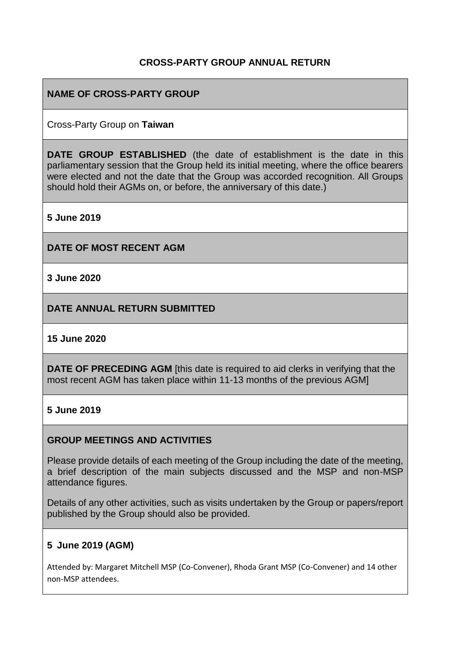# **CROSS-PARTY GROUP ANNUAL RETURN**

# **NAME OF CROSS-PARTY GROUP**

### Cross-Party Group on **Taiwan**

**DATE GROUP ESTABLISHED** (the date of establishment is the date in this parliamentary session that the Group held its initial meeting, where the office bearers were elected and not the date that the Group was accorded recognition. All Groups should hold their AGMs on, or before, the anniversary of this date.)

**5 June 2019**

**DATE OF MOST RECENT AGM**

**3 June 2020**

**DATE ANNUAL RETURN SUBMITTED**

#### **15 June 2020**

**DATE OF PRECEDING AGM** [this date is required to aid clerks in verifying that the most recent AGM has taken place within 11-13 months of the previous AGM]

### **5 June 2019**

### **GROUP MEETINGS AND ACTIVITIES**

Please provide details of each meeting of the Group including the date of the meeting, a brief description of the main subjects discussed and the MSP and non-MSP attendance figures.

Details of any other activities, such as visits undertaken by the Group or papers/report published by the Group should also be provided.

### **5 June 2019 (AGM)**

Attended by: Margaret Mitchell MSP (Co-Convener), Rhoda Grant MSP (Co-Convener) and 14 other non-MSP attendees.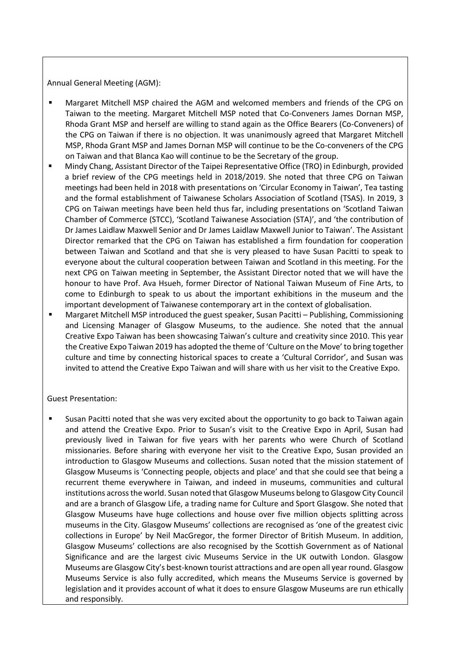Annual General Meeting (AGM):

- Margaret Mitchell MSP chaired the AGM and welcomed members and friends of the CPG on Taiwan to the meeting. Margaret Mitchell MSP noted that Co-Conveners James Dornan MSP, Rhoda Grant MSP and herself are willing to stand again as the Office Bearers (Co-Conveners) of the CPG on Taiwan if there is no objection. It was unanimously agreed that Margaret Mitchell MSP, Rhoda Grant MSP and James Dornan MSP will continue to be the Co-conveners of the CPG on Taiwan and that Blanca Kao will continue to be the Secretary of the group.
- Mindy Chang, Assistant Director of the Taipei Representative Office (TRO) in Edinburgh, provided a brief review of the CPG meetings held in 2018/2019. She noted that three CPG on Taiwan meetings had been held in 2018 with presentations on 'Circular Economy in Taiwan', Tea tasting and the formal establishment of Taiwanese Scholars Association of Scotland (TSAS). In 2019, 3 CPG on Taiwan meetings have been held thus far, including presentations on 'Scotland Taiwan Chamber of Commerce (STCC), 'Scotland Taiwanese Association (STA)', and 'the contribution of Dr James Laidlaw Maxwell Senior and Dr James Laidlaw Maxwell Junior to Taiwan'. The Assistant Director remarked that the CPG on Taiwan has established a firm foundation for cooperation between Taiwan and Scotland and that she is very pleased to have Susan Pacitti to speak to everyone about the cultural cooperation between Taiwan and Scotland in this meeting. For the next CPG on Taiwan meeting in September, the Assistant Director noted that we will have the honour to have Prof. Ava Hsueh, former Director of National Taiwan Museum of Fine Arts, to come to Edinburgh to speak to us about the important exhibitions in the museum and the important development of Taiwanese contemporary art in the context of globalisation.
- Margaret Mitchell MSP introduced the guest speaker, Susan Pacitti Publishing, Commissioning and Licensing Manager of Glasgow Museums, to the audience. She noted that the annual Creative Expo Taiwan has been showcasing Taiwan's culture and creativity since 2010. This year the Creative Expo Taiwan 2019 has adopted the theme of 'Culture on the Move' to bring together culture and time by connecting historical spaces to create a 'Cultural Corridor', and Susan was invited to attend the Creative Expo Taiwan and will share with us her visit to the Creative Expo.

#### Guest Presentation:

Susan Pacitti noted that she was very excited about the opportunity to go back to Taiwan again and attend the Creative Expo. Prior to Susan's visit to the Creative Expo in April, Susan had previously lived in Taiwan for five years with her parents who were Church of Scotland missionaries. Before sharing with everyone her visit to the Creative Expo, Susan provided an introduction to Glasgow Museums and collections. Susan noted that the mission statement of Glasgow Museums is 'Connecting people, objects and place' and that she could see that being a recurrent theme everywhere in Taiwan, and indeed in museums, communities and cultural institutions across the world. Susan noted that Glasgow Museums belong to Glasgow City Council and are a branch of Glasgow Life, a trading name for Culture and Sport Glasgow. She noted that Glasgow Museums have huge collections and house over five million objects splitting across museums in the City. Glasgow Museums' collections are recognised as 'one of the greatest civic collections in Europe' by Neil MacGregor, the former Director of British Museum. In addition, Glasgow Museums' collections are also recognised by the Scottish Government as of National Significance and are the largest civic Museums Service in the UK outwith London. Glasgow Museums are Glasgow City's best-known tourist attractions and are open all year round. Glasgow Museums Service is also fully accredited, which means the Museums Service is governed by legislation and it provides account of what it does to ensure Glasgow Museums are run ethically and responsibly.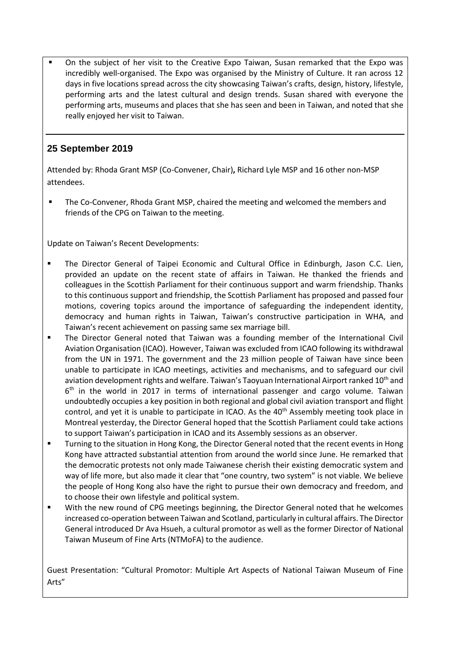On the subject of her visit to the Creative Expo Taiwan, Susan remarked that the Expo was incredibly well-organised. The Expo was organised by the Ministry of Culture. It ran across 12 days in five locations spread across the city showcasing Taiwan's crafts, design, history, lifestyle, performing arts and the latest cultural and design trends. Susan shared with everyone the performing arts, museums and places that she has seen and been in Taiwan, and noted that she really enjoyed her visit to Taiwan.

# **25 September 2019**

Attended by: Rhoda Grant MSP (Co-Convener, Chair)**,** Richard Lyle MSP and 16 other non-MSP attendees.

The Co-Convener, Rhoda Grant MSP, chaired the meeting and welcomed the members and friends of the CPG on Taiwan to the meeting.

Update on Taiwan's Recent Developments:

- **•** The Director General of Taipei Economic and Cultural Office in Edinburgh, Jason C.C. Lien, provided an update on the recent state of affairs in Taiwan. He thanked the friends and colleagues in the Scottish Parliament for their continuous support and warm friendship. Thanks to this continuous support and friendship, the Scottish Parliament has proposed and passed four motions, covering topics around the importance of safeguarding the independent identity, democracy and human rights in Taiwan, Taiwan's constructive participation in WHA, and Taiwan's recent achievement on passing same sex marriage bill.
- The Director General noted that Taiwan was a founding member of the International Civil Aviation Organisation (ICAO). However, Taiwan was excluded from ICAO following its withdrawal from the UN in 1971. The government and the 23 million people of Taiwan have since been unable to participate in ICAO meetings, activities and mechanisms, and to safeguard our civil aviation development rights and welfare. Taiwan's Taoyuan International Airport ranked 10<sup>th</sup> and 6<sup>th</sup> in the world in 2017 in terms of international passenger and cargo volume. Taiwan undoubtedly occupies a key position in both regional and global civil aviation transport and flight control, and yet it is unable to participate in ICAO. As the 40<sup>th</sup> Assembly meeting took place in Montreal yesterday, the Director General hoped that the Scottish Parliament could take actions to support Taiwan's participation in ICAO and its Assembly sessions as an observer.
- Turning to the situation in Hong Kong, the Director General noted that the recent events in Hong Kong have attracted substantial attention from around the world since June. He remarked that the democratic protests not only made Taiwanese cherish their existing democratic system and way of life more, but also made it clear that "one country, two system" is not viable. We believe the people of Hong Kong also have the right to pursue their own democracy and freedom, and to choose their own lifestyle and political system.
- With the new round of CPG meetings beginning, the Director General noted that he welcomes increased co-operation between Taiwan and Scotland, particularly in cultural affairs. The Director General introduced Dr Ava Hsueh, a cultural promotor as well as the former Director of National Taiwan Museum of Fine Arts (NTMoFA) to the audience.

Guest Presentation: "Cultural Promotor: Multiple Art Aspects of National Taiwan Museum of Fine Arts"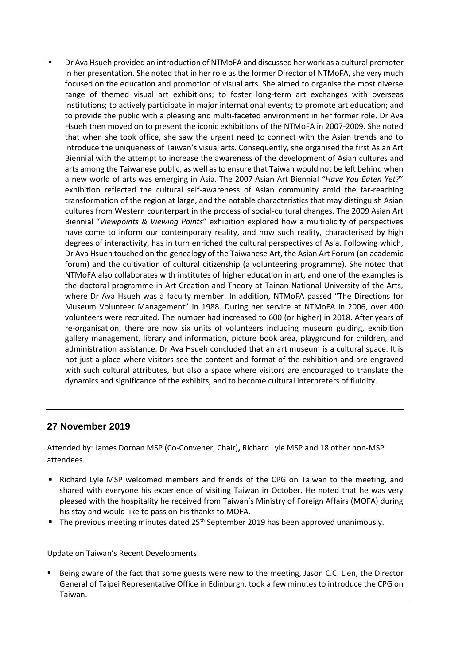Dr Ava Hsueh provided an introduction of NTMoFA and discussed her work as a cultural promoter in her presentation. She noted that in her role as the former Director of NTMoFA, she very much focused on the education and promotion of visual arts. She aimed to organise the most diverse range of themed visual art exhibitions; to foster long-term art exchanges with overseas institutions; to actively participate in major international events; to promote art education; and to provide the public with a pleasing and multi-faceted environment in her former role. Dr Ava Hsueh then moved on to present the iconic exhibitions of the NTMoFA in 2007-2009. She noted that when she took office, she saw the urgent need to connect with the Asian trends and to introduce the uniqueness of Taiwan's visual arts. Consequently, she organised the first Asian Art Biennial with the attempt to increase the awareness of the development of Asian cultures and arts among the Taiwanese public, as well as to ensure that Taiwan would not be left behind when a new world of arts was emerging in Asia. The 2007 Asian Art Biennial *"Have You Eaten Yet?*" exhibition reflected the cultural self-awareness of Asian community amid the far-reaching transformation of the region at large, and the notable characteristics that may distinguish Asian cultures from Western counterpart in the process of social-cultural changes. The 2009 Asian Art Biennial "*Viewpoints & Viewing Points*" exhibition explored how a multiplicity of perspectives have come to inform our contemporary reality, and how such reality, characterised by high degrees of interactivity, has in turn enriched the cultural perspectives of Asia. Following which, Dr Ava Hsueh touched on the genealogy of the Taiwanese Art, the Asian Art Forum (an academic forum) and the cultivation of cultural citizenship (a volunteering programme). She noted that NTMoFA also collaborates with institutes of higher education in art, and one of the examples is the doctoral programme in Art Creation and Theory at Tainan National University of the Arts, where Dr Ava Hsueh was a faculty member. In addition, NTMoFA passed "The Directions for Museum Volunteer Management" in 1988. During her service at NTMoFA in 2006, over 400 volunteers were recruited. The number had increased to 600 (or higher) in 2018. After years of re-organisation, there are now six units of volunteers including museum guiding, exhibition gallery management, library and information, picture book area, playground for children, and administration assistance. Dr Ava Hsueh concluded that an art museum is a cultural space. It is not just a place where visitors see the content and format of the exhibition and are engraved with such cultural attributes, but also a space where visitors are encouraged to translate the dynamics and significance of the exhibits, and to become cultural interpreters of fluidity.

# **27 November 2019**

Attended by: James Dornan MSP (Co-Convener, Chair)**,** Richard Lyle MSP and 18 other non-MSP attendees.

- Richard Lyle MSP welcomed members and friends of the CPG on Taiwan to the meeting, and shared with everyone his experience of visiting Taiwan in October. He noted that he was very pleased with the hospitality he received from Taiwan's Ministry of Foreign Affairs (MOFA) during his stay and would like to pass on his thanks to MOFA.
- The previous meeting minutes dated 25<sup>th</sup> September 2019 has been approved unanimously.

Update on Taiwan's Recent Developments:

Being aware of the fact that some guests were new to the meeting, Jason C.C. Lien, the Director General of Taipei Representative Office in Edinburgh, took a few minutes to introduce the CPG on Taiwan.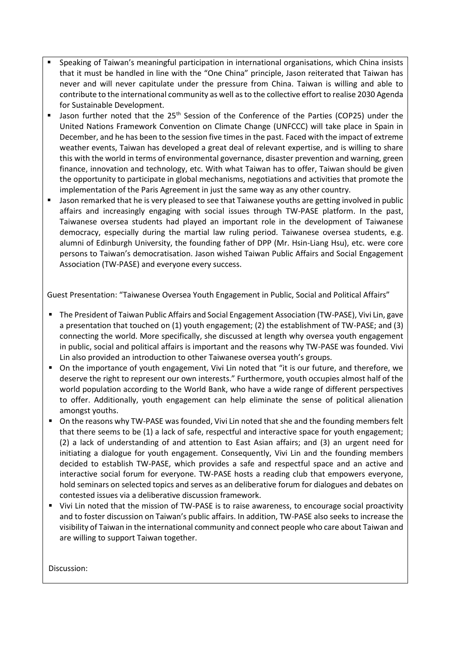- Speaking of Taiwan's meaningful participation in international organisations, which China insists that it must be handled in line with the "One China" principle, Jason reiterated that Taiwan has never and will never capitulate under the pressure from China. Taiwan is willing and able to contribute to the international community as well as to the collective effort to realise 2030 Agenda for Sustainable Development.
- Jason further noted that the 25<sup>th</sup> Session of the Conference of the Parties (COP25) under the United Nations Framework Convention on Climate Change (UNFCCC) will take place in Spain in December, and he has been to the session five times in the past. Faced with the impact of extreme weather events, Taiwan has developed a great deal of relevant expertise, and is willing to share this with the world in terms of environmental governance, disaster prevention and warning, green finance, innovation and technology, etc. With what Taiwan has to offer, Taiwan should be given the opportunity to participate in global mechanisms, negotiations and activities that promote the implementation of the Paris Agreement in just the same way as any other country.
- Jason remarked that he is very pleased to see that Taiwanese youths are getting involved in public affairs and increasingly engaging with social issues through TW-PASE platform. In the past, Taiwanese oversea students had played an important role in the development of Taiwanese democracy, especially during the martial law ruling period. Taiwanese oversea students, e.g. alumni of Edinburgh University, the founding father of DPP (Mr. Hsin-Liang Hsu), etc. were core persons to Taiwan's democratisation. Jason wished Taiwan Public Affairs and Social Engagement Association (TW-PASE) and everyone every success.

Guest Presentation: "Taiwanese Oversea Youth Engagement in Public, Social and Political Affairs"

- The President of Taiwan Public Affairs and Social Engagement Association (TW-PASE), Vivi Lin, gave a presentation that touched on (1) youth engagement; (2) the establishment of TW-PASE; and (3) connecting the world. More specifically, she discussed at length why oversea youth engagement in public, social and political affairs is important and the reasons why TW-PASE was founded. Vivi Lin also provided an introduction to other Taiwanese oversea youth's groups.
- On the importance of youth engagement, Vivi Lin noted that "it is our future, and therefore, we deserve the right to represent our own interests." Furthermore, youth occupies almost half of the world population according to the World Bank, who have a wide range of different perspectives to offer. Additionally, youth engagement can help eliminate the sense of political alienation amongst youths.
- On the reasons why TW-PASE was founded, Vivi Lin noted that she and the founding members felt that there seems to be (1) a lack of safe, respectful and interactive space for youth engagement; (2) a lack of understanding of and attention to East Asian affairs; and (3) an urgent need for initiating a dialogue for youth engagement. Consequently, Vivi Lin and the founding members decided to establish TW-PASE, which provides a safe and respectful space and an active and interactive social forum for everyone. TW-PASE hosts a reading club that empowers everyone, hold seminars on selected topics and serves as an deliberative forum for dialogues and debates on contested issues via a deliberative discussion framework.
- Vivi Lin noted that the mission of TW-PASE is to raise awareness, to encourage social proactivity and to foster discussion on Taiwan's public affairs. In addition, TW-PASE also seeks to increase the visibility of Taiwan in the international community and connect people who care about Taiwan and are willing to support Taiwan together.

Discussion: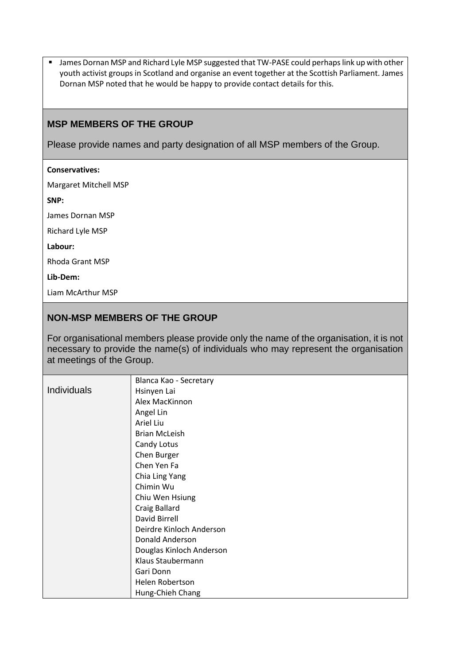■ James Dornan MSP and Richard Lyle MSP suggested that TW-PASE could perhaps link up with other youth activist groups in Scotland and organise an event together at the Scottish Parliament. James Dornan MSP noted that he would be happy to provide contact details for this.

### **MSP MEMBERS OF THE GROUP**

Please provide names and party designation of all MSP members of the Group.

#### **Conservatives:**

Margaret Mitchell MSP

**SNP:**

James Dornan MSP

Richard Lyle MSP

#### **Labour:**

Rhoda Grant MSP

#### **Lib-Dem:**

Liam McArthur MSP

# **NON-MSP MEMBERS OF THE GROUP**

For organisational members please provide only the name of the organisation, it is not necessary to provide the name(s) of individuals who may represent the organisation at meetings of the Group.

|                    | Blanca Kao - Secretary   |
|--------------------|--------------------------|
| <b>Individuals</b> | Hsinyen Lai              |
|                    | Alex MacKinnon           |
|                    | Angel Lin                |
|                    | Ariel Liu                |
|                    | <b>Brian McLeish</b>     |
|                    | Candy Lotus              |
|                    | Chen Burger              |
|                    | Chen Yen Fa              |
|                    | Chia Ling Yang           |
|                    | Chimin Wu                |
|                    | Chiu Wen Hsiung          |
|                    | Craig Ballard            |
|                    | David Birrell            |
|                    | Deirdre Kinloch Anderson |
|                    | Donald Anderson          |
|                    | Douglas Kinloch Anderson |
|                    | Klaus Staubermann        |
|                    | Gari Donn                |
|                    | Helen Robertson          |
|                    | Hung-Chieh Chang         |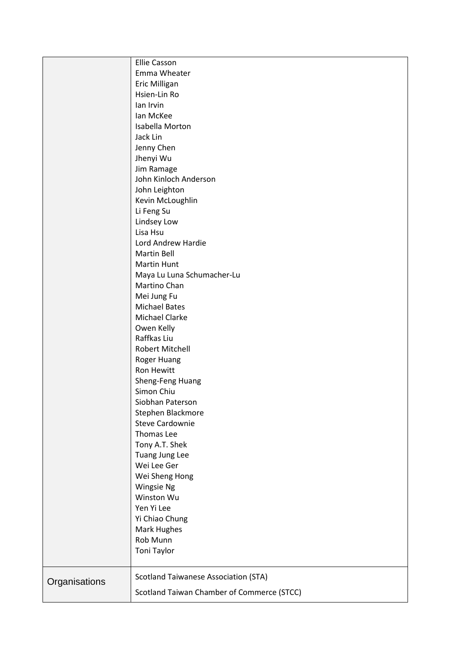|               | <b>Ellie Casson</b>                         |
|---------------|---------------------------------------------|
|               | Emma Wheater                                |
|               | Eric Milligan                               |
|               | Hsien-Lin Ro                                |
|               | lan Irvin                                   |
|               | lan McKee                                   |
|               | Isabella Morton                             |
|               | Jack Lin                                    |
|               | Jenny Chen                                  |
|               | Jhenyi Wu                                   |
|               | Jim Ramage                                  |
|               | John Kinloch Anderson                       |
|               | John Leighton                               |
|               | Kevin McLoughlin                            |
|               | Li Feng Su                                  |
|               | Lindsey Low                                 |
|               | Lisa Hsu                                    |
|               | Lord Andrew Hardie                          |
|               | <b>Martin Bell</b>                          |
|               | <b>Martin Hunt</b>                          |
|               | Maya Lu Luna Schumacher-Lu                  |
|               | Martino Chan                                |
|               | Mei Jung Fu                                 |
|               | <b>Michael Bates</b>                        |
|               | Michael Clarke                              |
|               | Owen Kelly                                  |
|               | Raffkas Liu                                 |
|               | <b>Robert Mitchell</b>                      |
|               | <b>Roger Huang</b>                          |
|               | Ron Hewitt                                  |
|               | Sheng-Feng Huang                            |
|               | Simon Chiu                                  |
|               | Siobhan Paterson                            |
|               | Stephen Blackmore                           |
|               | <b>Steve Cardownie</b>                      |
|               | Thomas Lee                                  |
|               | Tony A.T. Shek                              |
|               | Tuang Jung Lee                              |
|               | Wei Lee Ger                                 |
|               | Wei Sheng Hong                              |
|               | Wingsie Ng                                  |
|               | Winston Wu                                  |
|               | Yen Yi Lee                                  |
|               | Yi Chiao Chung                              |
|               | Mark Hughes                                 |
|               | Rob Munn                                    |
|               | Toni Taylor                                 |
|               |                                             |
|               |                                             |
| Organisations | <b>Scotland Taiwanese Association (STA)</b> |
|               | Scotland Taiwan Chamber of Commerce (STCC)  |
|               |                                             |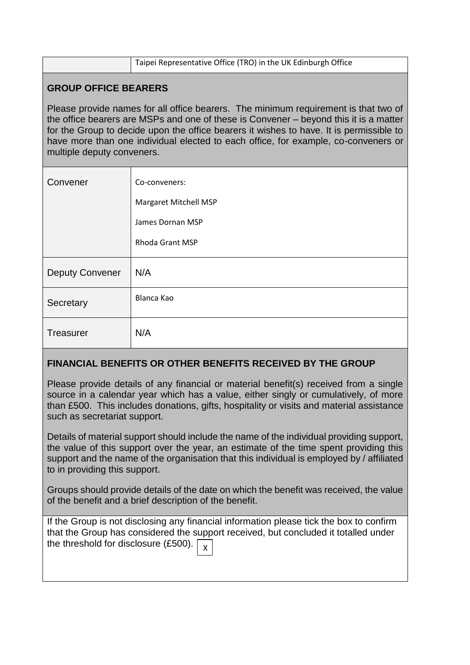|                                                                                                                                                                                                                                                                                                                                                                                             | Taipei Representative Office (TRO) in the UK Edinburgh Office |  |  |
|---------------------------------------------------------------------------------------------------------------------------------------------------------------------------------------------------------------------------------------------------------------------------------------------------------------------------------------------------------------------------------------------|---------------------------------------------------------------|--|--|
| <b>GROUP OFFICE BEARERS</b>                                                                                                                                                                                                                                                                                                                                                                 |                                                               |  |  |
| Please provide names for all office bearers. The minimum requirement is that two of<br>the office bearers are MSPs and one of these is Convener - beyond this it is a matter<br>for the Group to decide upon the office bearers it wishes to have. It is permissible to<br>have more than one individual elected to each office, for example, co-conveners or<br>multiple deputy conveners. |                                                               |  |  |
| Convener                                                                                                                                                                                                                                                                                                                                                                                    | Co-conveners:                                                 |  |  |
|                                                                                                                                                                                                                                                                                                                                                                                             | <b>Margaret Mitchell MSP</b>                                  |  |  |
|                                                                                                                                                                                                                                                                                                                                                                                             | James Dornan MSP                                              |  |  |
|                                                                                                                                                                                                                                                                                                                                                                                             | <b>Rhoda Grant MSP</b>                                        |  |  |
| <b>Deputy Convener</b>                                                                                                                                                                                                                                                                                                                                                                      | N/A                                                           |  |  |
| Secretary                                                                                                                                                                                                                                                                                                                                                                                   | <b>Blanca Kao</b>                                             |  |  |
| Treasurer                                                                                                                                                                                                                                                                                                                                                                                   | N/A                                                           |  |  |

# **FINANCIAL BENEFITS OR OTHER BENEFITS RECEIVED BY THE GROUP**

Please provide details of any financial or material benefit(s) received from a single source in a calendar year which has a value, either singly or cumulatively, of more than £500. This includes donations, gifts, hospitality or visits and material assistance such as secretariat support.

Details of material support should include the name of the individual providing support, the value of this support over the year, an estimate of the time spent providing this support and the name of the organisation that this individual is employed by / affiliated to in providing this support.

Groups should provide details of the date on which the benefit was received, the value of the benefit and a brief description of the benefit.

If the Group is not disclosing any financial information please tick the box to confirm that the Group has considered the support received, but concluded it totalled under the threshold for disclosure (£500).  $\sqrt{\frac{1}{x}}$